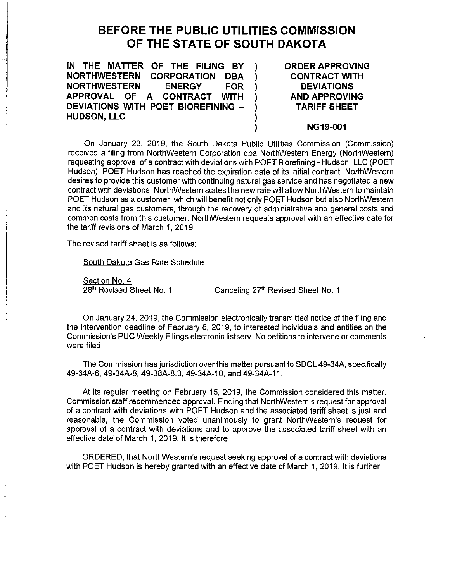## **BEFORE THE PUBLIC UTILITIES COMMISSION OF THE STATE OF SOUTH DAKOTA**

**IN THE MATTER OF THE FILING BY** ) **NORTHWESTERN CORPORATION DBA** ) **NORTHWESTERN ENERGY FOR** ) **APPROVAL OF A CONTRACT WITH** ) **DEVIATIONS WITH POET BIOREFINING -HUDSON, LLC ORDER APPROVING CONTRACT WITH DEVIATIONS AND APPROVING TARIFF SHEET** 

## **NG19-001**

On January 23, 2019, the South Dakota Public Utilities Commission (Commission) received a filing from NorthWestern Corporation dba NorthWestern Energy (NorthWestern) requesting approval of a contract with deviations with POET Biorefining - Hudson, LLC (POET Hudson). POET Hudson has reached the expiration date of its initial contract. NorthWestern desires to provide this customer with continuing natural gas service and has negotiated a new contract with deviations. NorthWestern states the new rate will allow NorthWestern to maintain POET Hudson as a customer, which will benefit not only POET Hudson but also NorthWestern and its natural gas customers, through the recovery of administrative and general costs and common costs from this customer. NorthWestern requests approval with an effective date for the tariff revisions of March 1, 2019.

)

The revised tariff sheet is as follows:

South Dakota Gas Rate Schedule

Section No. 4

28<sup>th</sup> Revised Sheet No. 1 Canceling 27<sup>th</sup> Revised Sheet No. 1

On January 24, 2019, the Commission electronically transmitted notice of the filing and the intervention deadline of February 8, 2019, to interested individuals and entities on the Commission's PUC Weekly Filings electronic listserv. No petitions to intervene or comments were filed.

The Commission has jurisdiction over this matter pursuant to SDCL 49-34A, specifically 49-34A-6, 49-34A-8, 49-38A-8.3, 49-34A-10, and 49-34A-11.

At its regular meeting on February 15, 2019, the Commission considered this matter. Commission staff recommended approval. Finding that NorthWestern's request for approval of a contract with deviations with POET Hudson and the associated tariff sheet is just and reasonable, the Commission voted unanimously to grant NorthWestern's request for approval of a contract with deviations and to approve the associated tariff sheet with an effective date of March 1, 2019. It is therefore

ORDERED, that NorthWestern's request seeking approval of a contract with deviations with POET Hudson is hereby granted with an effective date of March 1, 2019. It is further